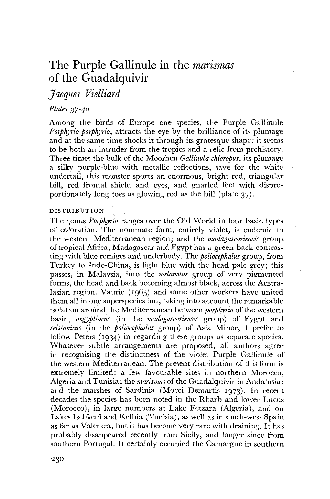# The Purple Gallinule in the *marismas*  of the Guadalquivir

# *Jacques Vielliard*

## *Plates 37-40*

Among the birds of Europe one species, the Purple Gallinule *Porphyria porphyrio,* attracts the eye by the brilliance of its plumage and at the same time shocks it through its grotesque shape: it seems to be both an intruder from the tropics and a relic from prehistory. Three times the bulk of the Moorhen *Gallinula chloropus,* its plumage a silky purple-blue with metallic reflections, save for the white undertail, this monster sports an enormous, bright red, triangular bill, red frontal shield and eyes, and gnarled feet with disproportionately long toes as glowing red as the bill (plate 37).

#### DISTRIBUTION

The genus *Porphyrio* ranges over the Old World in four basic types of coloration. The nominate form, entirely violet, is endemic to the western Mediterranean region; and the *madagascariensis* group of tropical Africa, Madagascar and Egypt has a green back contrasting with blue remiges and underbody. The *poliocephalus* group, from Turkey to Indo-China, is light blue with the head pale grey; this passes, in Malaysia, into the *melanotus* group of very pigmented forms, the head and back becoming almost black, across the Australasian region. Vaurie (1965) and some other workers have united them all in one superspecies but, taking into account the remarkable isolation around the Mediterranean between *porphyrio* of the western basin, *aegyptiacus* (in the *madagascariensis* group) of Eygpt and *seistanicus* (in the *poliocephalus* group) of Asia Minor, I prefer to follow Peters (1934) in regarding these groups as separate species. Whatever subtle arrangements are proposed, all authors agree in recognising the distinctness of the violet Purple Gallinule of the western Mediterranean. The present distribution of this form is extremely limited: a few favourable sites in northern Morocco, Algeria and Tunisia; the *marismas* of the Guadalquivir in Andalusia; and the marshes of Sardinia (Mocci Demartis 1973). In recent decades the species has been noted in the Rharb and lower Lucus (Morocco), in large numbers at Lake Fetzara (Algeria), and on Lakes Ischkeul and Kelbia (Tunisia), as well as in south-west Spain as far as Valencia, but it has become very rare with draining. It has probably disappeared recently from Sicily, and longer since from southern Portugal. It certainly occupied the Camargue in southern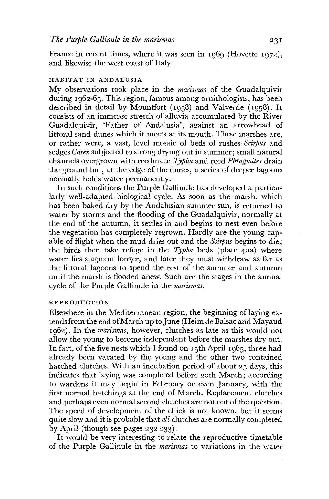France in recent times, where it was seen in 1969 (Hovette 1972), and likewise the west coast of Italy.

## HABITAT IN ANDALUSIA

My observations took place in the *marismas* of the Guadalquivir during 1962-65. This region, famous among ornithologists, has been described in detail by Mountfort (1958) and Valverde (1958). It consists of an immense stretch of alluvia accumulated by the River Guadalquivir, 'Father of Andalusia', against an arrowhead of littoral sand dunes which it meets at its mouth. These marshes are, or rather were, a vast, level mosaic of beds of rushes *Scirpus* and sedges *Carex* subjected to strong drying out in summer; small natural channels overgrown with reedmace *Typha* and reed *Phragmites* drain the ground but, at the edge of the dunes, a series of deeper lagoons normally holds water permanently.

In such conditions the Purple Gallinule has developed a particularly well-adapted biological cycle. As soon as the marsh, which has been baked dry by the Andalusian summer sun, is returned to water by storms and the flooding of the Guadalquivir, normally at the end of the autumn, it settles in and begins to nest even before the vegetation has completely regrown. Hardly are the young capable of flight when the mud dries out and the *Scirpus* begins to die; the birds then take refuge in the *Typha* beds (plate 40a) where water lies stagnant longer, and later they must withdraw as far as the littoral lagoons to spend the rest of the summer and autumn until the marsh is flooded anew. Such are the stages in the annual cycle of the Purple Gallinule in the *marismas.* 

#### REPRODUCTION

Elsewhere in the Mediterranean region, the beginning of laying extends from the end of March up to June (Heim de Balsac and Mayaud 1962). In the *marismas,* however, clutches as late as this would not allow the young to become independent before the marshes dry out. In fact, of the five nests which I found on 15th April 1965, three had already been vacated by the young and the other two contained hatched clutches. With an incubation period of about 25 days, this indicates that laying was completed before 20th March; according to wardens it may begin in February or even January, with the first normal hatchings at the end of March. Replacement clutches and perhaps even normal second clutches are not out of the question. The speed of development of the chick is not known, but it seems quite slow and it is probable that *all* clutches are normally completed by April (though see pages 232-233).

It would be very interesting to relate the reproductive timetable of the Purple Gallinule in the *marismas* to variations in the water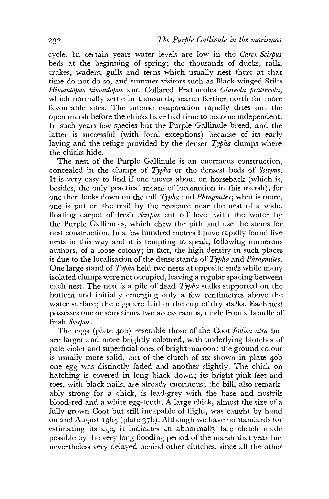cycle. In certain years water levels are low in the *Carex-Scirpus*  beds at the beginning of spring; the thousands of ducks, rails, crakes, waders, gulls and terns which usually nest there at that time do not do so, and summer visitors such as Black-winged Stilts *Himantopus himantopus* and Collared Pratincoles *Glareola pratincola,*  which normally settle in thousands, search farther north for more favourable sites. The intense evaporation rapidly dries out the open marsh before the chicks have had time to become independent. In such years few species but the Purple Gallinule breed, and the latter is successful (with local exceptions) because of its early laying and the refuge provided by the denser *Typha* clumps where the chicks hide.

The nest of the Purple Gallinule is an enormous construction, concealed in the clumps of *Typha* or the densest beds of *Scirpus.*  It is very easy to find if one moves about on horseback (which is, besides, the only practical means of locomotion in this marsh), for one then looks down on the tall *Typha* and *Pkragmites;* what is more, one is put on the trail by the presence near the nest of a wide, floating carpet of fresh *Scirpus* cut off level with the water by the Purple Gallinules, which chew the pith and use the stems for nest construction. In a few hundred metres I have rapidly found five nests in this way and it is tempting to speak, following numerous authors, of a loose colony; in fact, the high density in such places is due to the localisation of the dense stands of *Typha* and *Phragmites*. One large stand of *Typha* held two nests at opposite ends while many isolated clumps were not occupied, leaving a regular spacing between each nest. The nest is a pile of dead *Typha* stalks supported on the bottom and initially emerging only a few centimetres above the water surface; the eggs are laid in the cup of dry stalks. Each nest possesses one or sometimes two access ramps, made from a bundle of fresh *Scirpus,* 

The eggs (plate 40b) resemble those of the Coot *Fulica atra* but are larger and more brighdy coloured, with underlying blotches of pale violet and superficial ones of bright maroon; the ground colour is usually more solid, but of the clutch of six shown in plate 40b one egg was distinctly faded and another slightly. The chick on hatching is covered in long black down; its bright pink feet and toes, with black nails, are already enormous; the bill, also remarkably strong for a chick, is lead-grey with the base and nostrils blood-red and a white egg-tooth. A large chick, almost the size of a fully grown Coot but still incapable of flight, was caught by hand on 2nd August 1964 (plate 37b). Although we have no standards for estimating its age, it indicates an abnormally late clutch made possible by the very long flooding period of the marsh that year but nevertheless very delayed behind other clutches, since all the other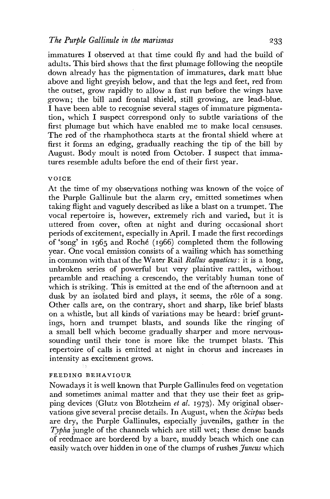#### *The Purple Gallinule in the marismas* 233

immatures I observed at that time could fly and had the build of adults. This bird shows that the first plumage following the neoptile down already has the pigmentation of immatures, dark matt blue above and light greyish below, and that the legs and feet, red from the outset, grow rapidly to allow a fast run before the wings have grown; the bill and frontal shield, still growing, are lead-blue. I have been able to recognise several stages of immature pigmentation, which I suspect correspond only to subtle variations of the first plumage but which have enabled me to make local censuses. The red of the rhamphotheca starts at the frontal shield where at first it forms an edging, gradually reaching the tip of the bill by August. Body moult is noted from October. I suspect that immatures resemble adults before the end of their first year.

#### **VOICE**

At the time of my observations nothing was known of the voice of the Purple Gallinule but the alarm cry, emitted sometimes when taking flight and vaguely described as like a blast on a trumpet. The vocal repertoire is, however, extremely rich and varied, but it is uttered from cover, often at night and during occasional short periods of excitement, especially in April. I made the first recordings of'song' in 1965 and Roche (1966) completed them the following year. One vocal emission consists of a wailing which has something in common with that of the Water Rail *Rallus aquaticus:* it is a long, unbroken series of powerful but very plaintive rattles, without preamble and reaching a crescendo, the veritably human tone of which is striking. This is emitted at the end of the afternoon and at dusk by an isolated bird and plays, it seems, the rôle of a song. Other calls are, on the contrary, short and sharp, like brief blasts on a whistle, but all kinds of variations may be heard: brief gruntings, horn and trumpet blasts, and sounds like the ringing of a small bell which become gradually sharper and more nervoussounding until their tone is more like the trumpet blasts. This repertoire of calls is emitted at night in chorus and increases in intensity as excitement grows.

#### FEEDING BEHAVIOUR

Nowadays it is well known that Purple Gallinules feed on vegetation and sometimes animal matter and that they use their feet as gripping devices (Glutz von Blotzheim *et al.* 1973). My original observations give several precise details. In August, when the *Scirpus* beds are dry, the Purple Gallinules, especially juveniles, gather in the *Typha* jungle of the channels which are still wet; these dense bands of reedmace are bordered by a bare, muddy beach which one can easily watch over hidden in one of the clumps of rushes *Juncus* which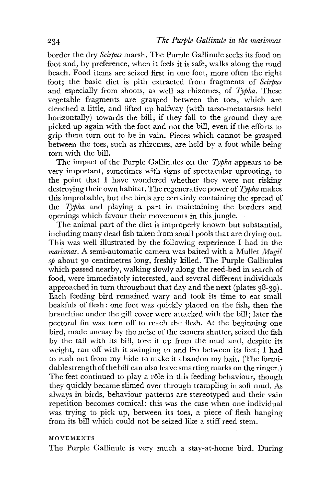border the dry *Scirpus* marsh. The Purple Gallinule seeks its food on foot and, by preference, when it feels it is safe, walks along the mud beach. Food items are seized first in one foot, more often the right foot; the basic diet is pith extracted from fragments of *Scirpus*  and especially from shoots, as well as rhizomes, of *Typha.* These vegetable fragments are grasped between the toes, which are clenched a little, and lifted up halfway (with tarso-metatarsus held horizontally) towards the bill; if they fall to the ground they are picked up again with the foot and not the bill, even if the efforts to grip them turn out to be in vain. Pieces which cannot be grasped between the toes, such as rhizomes, are held by a foot while being torn with the bill.

The impact of the Purple Gallinules on the *Typha* appears to be very important, sometimes with signs of spectacular uprooting, to the point that I have wondered whether they were not risking destroying their own habitat. The regenerative power of *Typha* makes this improbable, but the birds are certainly containing the spread of the *Typha* and playing a part in maintaining the borders and openings which favour their movements in this jungle.

The animal part of the diet is improperly known but substantial, including many dead fish taken from small pools that are drying out. This was well illustrated by the following experience I had in the *marismas.* A semi-automatic camera was baited with a Mullet *Mugil sp* about 30 centimetres long, freshly killed. The Purple Gallinules which passed nearby, walking slowly along the reed-bed in search of food, were immediately interested, and several different individuals approached in turn throughout that day and the next (plates 38-39). Each feeding bird remained wary and took its time to eat small beakfuls of flesh: one foot was quickly placed on the fish, then the branchiae under the gill cover were attacked with the bill; later the pectoral fin was torn off to reach the flesh. At the beginning one bird, made uneasy by the noise of the camera shutter, seized the fish by the tail with its bill, tore it up from the mud and, despite its weight, ran off with it swinging to and fro between its feet; I had to rush out from my hide to make it abandon my bait. (The formidable strength of the bill can also leave smarting marks on the ringer.) The feet continued to play a rôle in this feeding behaviour, though they quickly became slimed over through trampling in soft mud. As always in birds, behaviour patterns are stereotyped and their vain repetition becomes comical: this was the case when one individual was trying to pick up, between its toes, a piece of flesh hanging from its bill which could not be seized like a stiff reed stem.

#### MOVEMENTS

The Purple Gallinule is very much a stay-at-home bird. During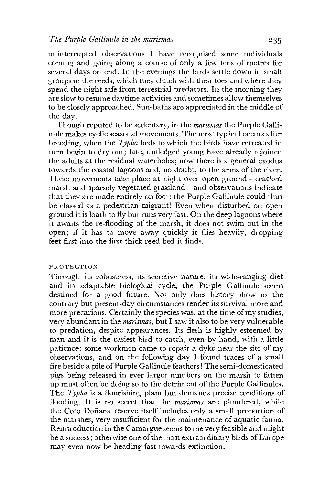uninterrupted observations I have recognised some individuals coming and going along a course of only a few tens of metres for several days on end. In the evenings the birds settle down in small groups in the reeds, which they clutch with their toes and where they spend the night safe from terrestrial predators. In the morning they are slow to resume daytime activities and sometimes allow themselves to be closely approached. Sun-baths are appreciated in the middle of the day.

Though reputed to be sedentary, in the *marismas* the Purple Gallinule makes cyclic seasonal movements. The most typical occurs after breeding, when the *Typha* beds to which the birds have retreated in turn begin to dry out; late, unfledged young have already rejoined the adults at the residual waterholes; now there is a general exodus towards the coastal lagoons and, no doubt, to the arms of the river. These movements take place at night over open ground—cracked marsh and sparsely vegetated grassland—and observations indicate that they are made entirely on foot: the Purple Gallinule could thus be classed as a pedestrian migrant! Even when disturbed on open ground it is loath to fly but runs very fast. On the deep lagoons where it awaits the re-flooding of the marsh, it does not swim out in the open; if it has to move away quickly it flies heavily, dropping feet-first into the first thick reed-bed it finds.

#### PROTECTION

Through its robustness, its secretive nature, its wide-ranging diet and its adaptable biological cycle, the Purple Gallinule seems destined for a good future. Not only does history show us the contrary but present-day circumstances render its survival more and more precarious. Certainly the species was, at the time of my studies, very abundant in the *marismas,* but I saw it also to be very vulnerable to predation, despite appearances. Its flesh is highly esteemed by man and it is the easiest bird to catch, even by hand, with a little patience: some workmen came to repair a dyke near the site of my observations, and on the following day I found traces of a small fire beside a pile of Purple Gallinule feathers! The semi-domesticated pigs being released in ever larger numbers on the marsh to fatten up must often be doing so to the detriment of the Purple Gallinules. The *Typha* is a flourishing plant but demands precise conditions of flooding. It is no secret that the *marismas* are plundered, while the Goto Dofiana reserve itself includes only a small proportion of the marshes, very insufficient for the maintenance of aquatic fauna. Reintroduction in the Camargue seems to me very feasible and might be a success; otherwise one of the most extraordinary birds of Europe may even now be heading fast towards extinction.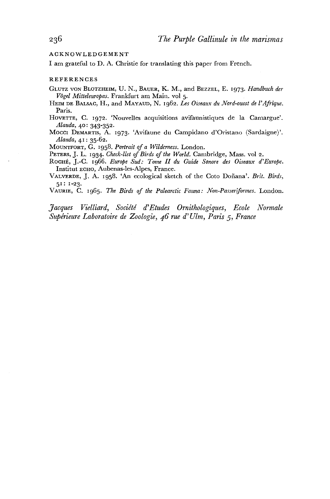ACKNOWLEDGEMENT

I am grateful to D. A. Christie for translating this paper from French.

#### REFERENCES

GLUTZ VON BLOTZHEIM, U. N., BAUER, K. M., and BEZZEL, E. 1973. *Handbuch der Vogel Mitteleuropas.* Frankfurt am Main, vol 5.

HEIM DE BALSAC, H., and MAYAUD, N. 1962. Les Oiseaux du Nord-ouest de l'Afrique. Paris.

HOVETTE, C. 1972. 'Nouvelles acquisitions avifaunistiques de la Camargue'. *Alauda,* 40: 343-352.

Mocci DEMARTIS, A. 1973. 'Avifaune du Campidano d'Oristano (Sardaigne)'. *Alauda,* 41: 35-62.

MOUNTFORT, G. 1958. *Portrait of a Wilderness.* London.

PETERS, J. L. 1934. *Check-list of Birds of the World.* Cambridge, Mass. vol 2.

ROCHE, J.-C. 1966. *Europe Sud: Tome II du Guide Sonore des Oiseaux d'Europe.*  Institut ECHO, Aubenas-les-Alpes, France.

VALVERDE, J. A. 1958. 'An ecological sketch of the Goto Dofiana'. *Brit. Birds,*  51: 1-23.

VAURIE, C. 1965. *The Birds of the Palearctic Fauna: Hon-Passeriformes.* London.

*Jacques Vielliard, Societe d'Etudes [Orniihologiqu.es,](Orniihologiqu.es) Ecole Normale Superieure Laboratoire de Zoologie, 46 rue d' Ulm, Paris* 5 , *France*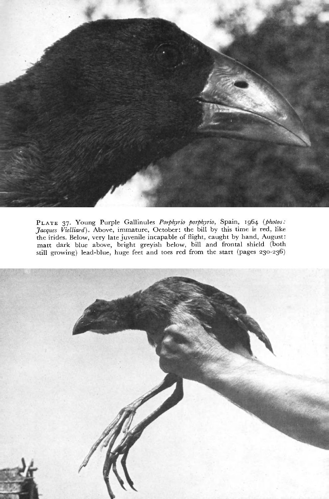

PLAT E 37. Young Purple Gallinules *Porphyria porphyrio,* Spain, 1964 *(photos: Jacques Vielliard).* Above, immature, October: the bill by this time is red, like the irides. Below, very late juvenile incapable of flight, caught by hand, August: matt dark blue above, bright greyish below, bill and frontal shield (both still growing) lead-blue, huge feet and toes red from the start (pages 230-236)

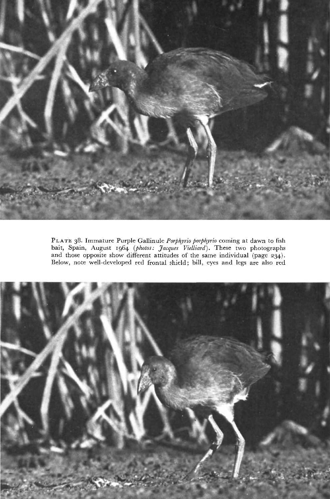

PLAT E 38. Immature Purple Gallinule *Porphyria porphyrio* coming at dawn to fish bait, Spain, August 1964 *(photos: Jacques Vielliard).* These two photographs and those opposite show different attitudes of the same individual (page 234). Below, note well-developed red frontal shield; bill, eyes and legs are also red

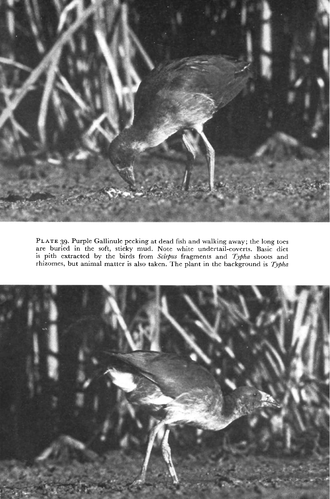

PLATE 39. Purple Gallinule pecking at dead fish and walking away; the long toes are buried in the soft, sticky mud. Note white undertail-coverts. Basic diet is pith extracted by the birds from *Scirpus* fragments and *Typha* shoots and rhizomes, but animal matter is also taken. The plant in the background is *Typha*